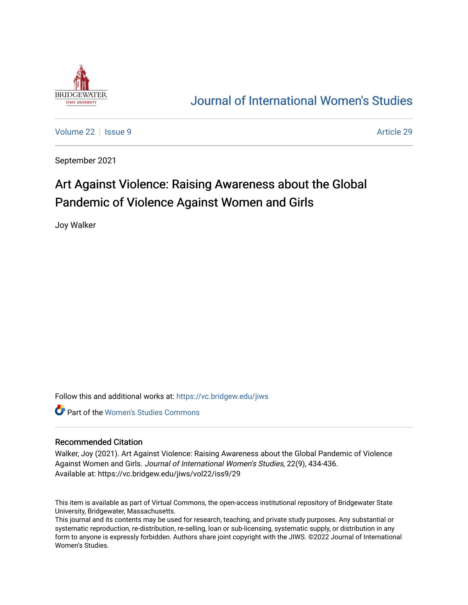

## [Journal of International Women's Studies](https://vc.bridgew.edu/jiws)

[Volume 22](https://vc.bridgew.edu/jiws/vol22) | [Issue 9](https://vc.bridgew.edu/jiws/vol22/iss9) [Article 29](https://vc.bridgew.edu/jiws/vol22/iss9/29) Article 29

September 2021

# Art Against Violence: Raising Awareness about the Global Pandemic of Violence Against Women and Girls

Joy Walker

Follow this and additional works at: [https://vc.bridgew.edu/jiws](https://vc.bridgew.edu/jiws?utm_source=vc.bridgew.edu%2Fjiws%2Fvol22%2Fiss9%2F29&utm_medium=PDF&utm_campaign=PDFCoverPages)

**C** Part of the Women's Studies Commons

### Recommended Citation

Walker, Joy (2021). Art Against Violence: Raising Awareness about the Global Pandemic of Violence Against Women and Girls. Journal of International Women's Studies, 22(9), 434-436. Available at: https://vc.bridgew.edu/jiws/vol22/iss9/29

This item is available as part of Virtual Commons, the open-access institutional repository of Bridgewater State University, Bridgewater, Massachusetts.

This journal and its contents may be used for research, teaching, and private study purposes. Any substantial or systematic reproduction, re-distribution, re-selling, loan or sub-licensing, systematic supply, or distribution in any form to anyone is expressly forbidden. Authors share joint copyright with the JIWS. ©2022 Journal of International Women's Studies.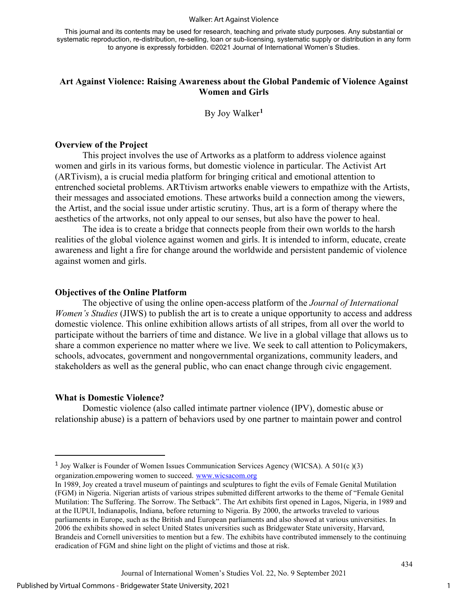#### Walker: Art Against Violence

This journal and its contents may be used for research, teaching and private study purposes. Any substantial or systematic reproduction, re-distribution, re-selling, loan or sub-licensing, systematic supply or distribution in any form to anyone is expressly forbidden. ©2021 Journal of International Women's Studies.

### **Art Against Violence: Raising Awareness about the Global Pandemic of Violence Against Women and Girls**

By Joy Walker**[1](#page-1-0)**

#### **Overview of the Project**

This project involves the use of Artworks as a platform to address violence against women and girls in its various forms, but domestic violence in particular. The Activist Art (ARTivism), a is crucial media platform for bringing critical and emotional attention to entrenched societal problems. ARTtivism artworks enable viewers to empathize with the Artists, their messages and associated emotions. These artworks build a connection among the viewers, the Artist, and the social issue under artistic scrutiny. Thus, art is a form of therapy where the aesthetics of the artworks, not only appeal to our senses, but also have the power to heal.

The idea is to create a bridge that connects people from their own worlds to the harsh realities of the global violence against women and girls. It is intended to inform, educate, create awareness and light a fire for change around the worldwide and persistent pandemic of violence against women and girls.

#### **Objectives of the Online Platform**

The objective of using the online open-access platform of the *Journal of International Women's Studies* (JIWS) to publish the art is to create a unique opportunity to access and address domestic violence. This online exhibition allows artists of all stripes, from all over the world to participate without the barriers of time and distance. We live in a global village that allows us to share a common experience no matter where we live. We seek to call attention to Policymakers, schools, advocates, government and nongovernmental organizations, community leaders, and stakeholders as well as the general public, who can enact change through civic engagement.

#### **What is Domestic Violence?**

Domestic violence (also called intimate partner violence (IPV), domestic abuse or relationship abuse) is a pattern of behaviors used by one partner to maintain power and control

1

434

<span id="page-1-0"></span><sup>&</sup>lt;sup>1</sup> Joy Walker is Founder of Women Issues Communication Services Agency (WICSA). A 501(c)(3) organization.empowering women to succeed. [www.wicsacom.org](http://www.wicsacom.org/)

In 1989, Joy created a travel museum of paintings and sculptures to fight the evils of Female Genital Mutilation (FGM) in Nigeria. Nigerian artists of various stripes submitted different artworks to the theme of "Female Genital Mutilation: The Suffering. The Sorrow. The Setback". The Art exhibits first opened in Lagos, Nigeria, in 1989 and at the IUPUI, Indianapolis, Indiana, before returning to Nigeria. By 2000, the artworks traveled to various parliaments in Europe, such as the British and European parliaments and also showed at various universities. In 2006 the exhibits showed in select United States universities such as Bridgewater State university, Harvard, Brandeis and Cornell universities to mention but a few. The exhibits have contributed immensely to the continuing eradication of FGM and shine light on the plight of victims and those at risk.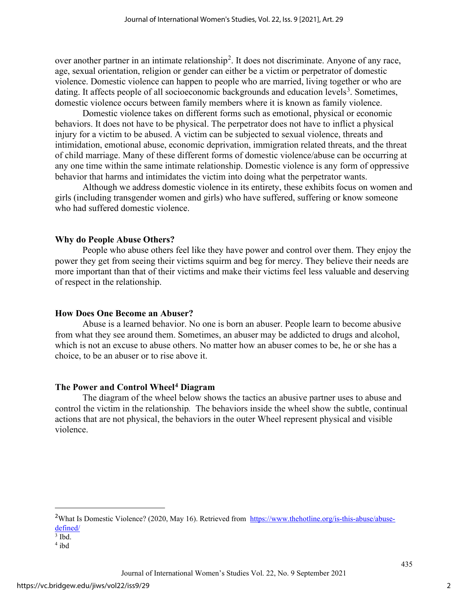over another partner in an intimate relationship<sup>[2](#page-2-0)</sup>. It does not discriminate. Anyone of any race, age, sexual orientation, religion or gender can either be a victim or perpetrator of domestic violence. Domestic violence can happen to people who are married, living together or who are dating. It affects people of all socioeconomic backgrounds and education levels<sup>[3](#page-2-1)</sup>. Sometimes, domestic violence occurs between family members where it is known as family violence.

Domestic violence takes on different forms such as emotional, physical or economic behaviors. It does not have to be physical. The perpetrator does not have to inflict a physical injury for a victim to be abused. A victim can be subjected to sexual violence, threats and intimidation, emotional abuse, economic deprivation, immigration related threats, and the threat of child marriage. Many of these different forms of domestic violence/abuse can be occurring at any one time within the same intimate relationship. Domestic violence is any form of oppressive behavior that harms and intimidates the victim into doing what the perpetrator wants.

Although we address domestic violence in its entirety, these exhibits focus on women and girls (including transgender women and girls) who have suffered, suffering or know someone who had suffered domestic violence.

## **Why do People Abuse Others?**

People who abuse others feel like they have power and control over them. They enjoy the power they get from seeing their victims squirm and beg for mercy. They believe their needs are more important than that of their victims and make their victims feel less valuable and deserving of respect in the relationship.

## **How Does One Become an Abuser?**

 Abuse is a learned behavior. No one is born an abuser. People learn to become abusive from what they see around them. Sometimes, an abuser may be addicted to drugs and alcohol, which is not an excuse to abuse others. No matter how an abuser comes to be, he or she has a choice, to be an abuser or to rise above it.

## **The Power and Control Wheel[4](#page-2-2) Diagram**

The diagram of the wheel below shows the tactics an abusive partner uses to abuse and control the victim in the relationship*.* The behaviors inside the wheel show the subtle, continual actions that are not physical, the behaviors in the outer Wheel represent physical and visible violence.

435

<span id="page-2-0"></span><sup>&</sup>lt;sup>2</sup>What Is Domestic Violence? (2020, May 16). Retrieved from [https://www.thehotline.org/is-this-abuse/abuse](https://www.thehotline.org/is-this-abuse/abuse-defined/)[defined/](https://www.thehotline.org/is-this-abuse/abuse-defined/)

<span id="page-2-1"></span> $3$  Ibd.

<span id="page-2-2"></span><sup>4</sup> ibd